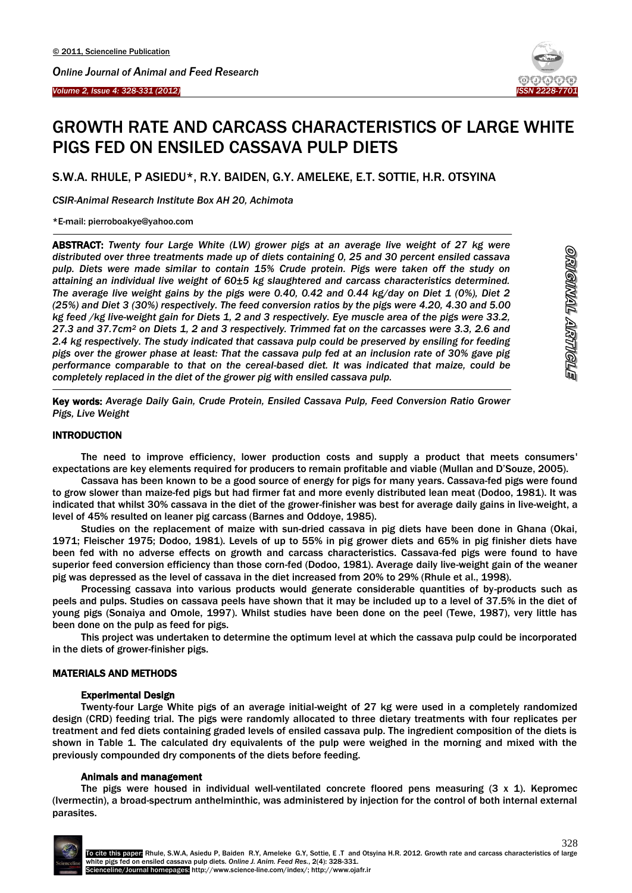

# GROWTH RATE AND CARCASS CHARACTERISTICS OF LARGE WHITE PIGS FED ON ENSILED CASSAVA PULP DIETS

S.W.A. RHULE, P ASIEDU\*, R.Y. BAIDEN, G.Y. AMELEKE, E.T. SOTTIE, H.R. OTSYINA

*CSIR-Animal Research Institute Box AH 20, Achimota*

\*E-mail: pierroboakye@yahoo.com

<u>.</u>

-

ABSTRACT: *Twenty four Large White (LW) grower pigs at an average live weight of 27 kg were distributed over three treatments made up of diets containing 0, 25 and 30 percent ensiled cassava pulp. Diets were made similar to contain 15% Crude protein. Pigs were taken off the study on attaining an individual live weight of 60±5 kg slaughtered and carcass characteristics determined. The average live weight gains by the pigs were 0.40, 0.42 and 0.44 kg/day on Diet 1 (0%), Diet 2 (25%) and Diet 3 (30%) respectively. The feed conversion ratios by the pigs were 4.20, 4.30 and 5.00 kg feed /kg live-weight gain for Diets 1, 2 and 3 respectively. Eye muscle area of the pigs were 33.2, 27.3 and 37.7cm<sup>2</sup> on Diets 1, 2 and 3 respectively. Trimmed fat on the carcasses were 3.3, 2.6 and 2.4 kg respectively. The study indicated that cassava pulp could be preserved by ensiling for feeding pigs over the grower phase at least: That the cassava pulp fed at an inclusion rate of 30% gave pig performance comparable to that on the cereal-based diet. It was indicated that maize, could be completely replaced in the diet of the grower pig with ensiled cassava pulp.*

Key words: *Average Daily Gain, Crude Protein, Ensiled Cassava Pulp, Feed Conversion Ratio Grower Pigs, Live Weight*

## **INTRODUCTION**

The need to improve efficiency, lower production costs and supply a product that meets consumers' expectations are key elements required for producers to remain profitable and viable (Mullan and D'Souze, 2005).

Cassava has been known to be a good source of energy for pigs for many years. Cassava-fed pigs were found to grow slower than maize-fed pigs but had firmer fat and more evenly distributed lean meat (Dodoo, 1981). It was indicated that whilst 30% cassava in the diet of the grower-finisher was best for average daily gains in live-weight, a level of 45% resulted on leaner pig carcass (Barnes and Oddoye, 1985).

Studies on the replacement of maize with sun-dried cassava in pig diets have been done in Ghana (Okai, 1971; Fleischer 1975; Dodoo, 1981). Levels of up to 55% in pig grower diets and 65% in pig finisher diets have been fed with no adverse effects on growth and carcass characteristics. Cassava-fed pigs were found to have superior feed conversion efficiency than those corn-fed (Dodoo, 1981). Average daily live-weight gain of the weaner pig was depressed as the level of cassava in the diet increased from 20% to 29% (Rhule et al., 1998).

Processing cassava into various products would generate considerable quantities of by-products such as peels and pulps. Studies on cassava peels have shown that it may be included up to a level of 37.5% in the diet of young pigs (Sonaiya and Omole, 1997). Whilst studies have been done on the peel (Tewe, 1987), very little has been done on the pulp as feed for pigs.

This project was undertaken to determine the optimum level at which the cassava pulp could be incorporated in the diets of grower-finisher pigs.

## MATERIALS AND METHODS

#### Experimental Design

Twenty-four Large White pigs of an average initial-weight of 27 kg were used in a completely randomized design (CRD) feeding trial. The pigs were randomly allocated to three dietary treatments with four replicates per treatment and fed diets containing graded levels of ensiled cassava pulp. The ingredient composition of the diets is shown in Table 1. The calculated dry equivalents of the pulp were weighed in the morning and mixed with the previously compounded dry components of the diets before feeding.

#### Animals and management

The pigs were housed in individual well-ventilated concrete floored pens measuring  $(3 \times 1)$ . Kepromec (Ivermectin), a broad-spectrum anthelminthic, was administered by injection for the control of both internal external parasites.

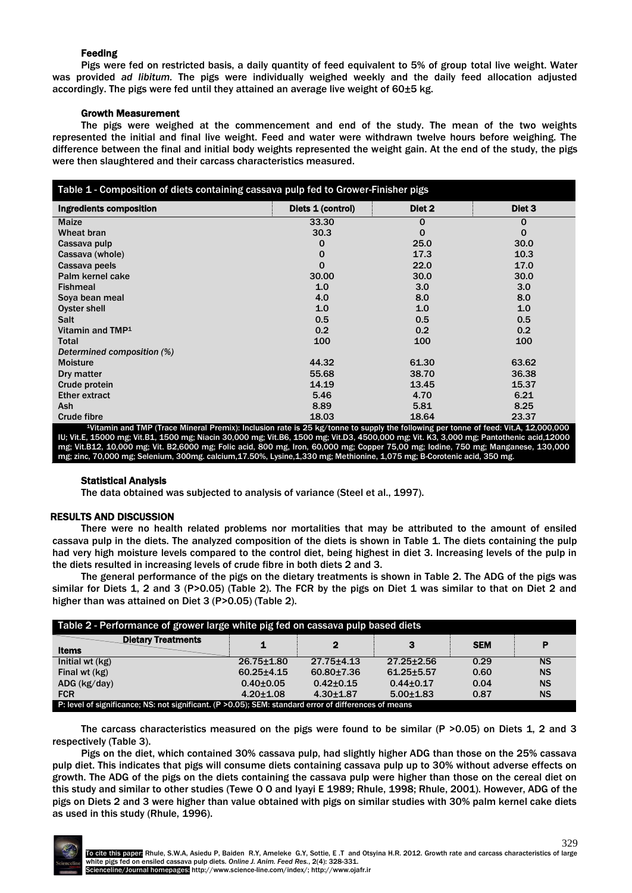# Feeding

Pigs were fed on restricted basis, a daily quantity of feed equivalent to 5% of group total live weight. Water was provided *ad libitum.* The pigs were individually weighed weekly and the daily feed allocation adjusted accordingly. The pigs were fed until they attained an average live weight of 60±5 kg.

## Growth Measurement

The pigs were weighed at the commencement and end of the study. The mean of the two weights represented the initial and final live weight. Feed and water were withdrawn twelve hours before weighing. The difference between the final and initial body weights represented the weight gain. At the end of the study, the pigs were then slaughtered and their carcass characteristics measured.

| Table 1 - Composition of diets containing cassava pulp fed to Grower-Finisher pigs                                                                                                                                                                                                                                                                                                                                  |                   |                  |                  |  |  |  |  |
|---------------------------------------------------------------------------------------------------------------------------------------------------------------------------------------------------------------------------------------------------------------------------------------------------------------------------------------------------------------------------------------------------------------------|-------------------|------------------|------------------|--|--|--|--|
| Ingredients composition                                                                                                                                                                                                                                                                                                                                                                                             | Diets 1 (control) | Diet 2           | Diet 3           |  |  |  |  |
| <b>Maize</b>                                                                                                                                                                                                                                                                                                                                                                                                        | 33.30             | 0                | 0                |  |  |  |  |
| Wheat bran                                                                                                                                                                                                                                                                                                                                                                                                          | 30.3              | $\Omega$         | $\Omega$         |  |  |  |  |
| Cassava pulp                                                                                                                                                                                                                                                                                                                                                                                                        | 0                 | 25.0             | 30.0             |  |  |  |  |
| Cassava (whole)                                                                                                                                                                                                                                                                                                                                                                                                     | $\mathbf 0$       | 17.3             | 10.3             |  |  |  |  |
| Cassava peels                                                                                                                                                                                                                                                                                                                                                                                                       | $\Omega$          | 22.0             | 17.0             |  |  |  |  |
| Palm kernel cake                                                                                                                                                                                                                                                                                                                                                                                                    | 30.00             | 30.0             | 30.0             |  |  |  |  |
| <b>Fishmeal</b>                                                                                                                                                                                                                                                                                                                                                                                                     | 1.0               | 3.0 <sub>2</sub> | 3.0              |  |  |  |  |
| Soya bean meal                                                                                                                                                                                                                                                                                                                                                                                                      | 4.0               | 8.0              | 8.0              |  |  |  |  |
| Oyster shell                                                                                                                                                                                                                                                                                                                                                                                                        | 1.0               | 1.0              | 1.0              |  |  |  |  |
| Salt                                                                                                                                                                                                                                                                                                                                                                                                                | 0.5               | 0.5              | 0.5              |  |  |  |  |
| Vitamin and TMP <sup>1</sup>                                                                                                                                                                                                                                                                                                                                                                                        | 0.2               | 0.2              | 0.2 <sub>0</sub> |  |  |  |  |
| Total                                                                                                                                                                                                                                                                                                                                                                                                               | 100               | 100              | 100              |  |  |  |  |
| Determined composition (%)                                                                                                                                                                                                                                                                                                                                                                                          |                   |                  |                  |  |  |  |  |
| <b>Moisture</b>                                                                                                                                                                                                                                                                                                                                                                                                     | 44.32             | 61.30            | 63.62            |  |  |  |  |
| Dry matter                                                                                                                                                                                                                                                                                                                                                                                                          | 55.68             | 38.70            | 36.38            |  |  |  |  |
| Crude protein                                                                                                                                                                                                                                                                                                                                                                                                       | 14.19             | 13.45            | 15.37            |  |  |  |  |
| <b>Ether extract</b>                                                                                                                                                                                                                                                                                                                                                                                                | 5.46              | 4.70             | 6.21             |  |  |  |  |
| <b>Ash</b>                                                                                                                                                                                                                                                                                                                                                                                                          | 8.89              | 5.81             | 8.25             |  |  |  |  |
| <b>Crude fibre</b>                                                                                                                                                                                                                                                                                                                                                                                                  | 18.03             | 18.64            | 23.37            |  |  |  |  |
| 1Vitamin and TMP (Trace Mineral Premix): Inclusion rate is 25 kg/tonne to supply the following per tonne of feed: Vit.A, 12,000,000<br>IU; Vit.E, 15000 mg; Vit.B1, 1500 mg; Niacin 30,000 mg; Vit.B6, 1500 mg; Vit.D3, 4500,000 mg; Vit. K3, 3,000 mg; Pantothenic acid,12000<br>mg; Vit.B12, 10,000 mg; Vit. B2,6000 mg; Folic acid, 800 mg, Iron, 60,000 mg; Copper 75,00 mg; Iodine, 750 mg; Manganese, 130,000 |                   |                  |                  |  |  |  |  |
| mg; zinc, 70,000 mg; Selenium, 300mg. calcium,17.50%, Lysine,1,330 mg; Methionine, 1,075 mg; B-Corotenic acid, 350 mg.                                                                                                                                                                                                                                                                                              |                   |                  |                  |  |  |  |  |

#### Statistical Analysis

The data obtained was subjected to analysis of variance (Steel et al., 1997).

# RESULTS AND DISCUSSION

There were no health related problems nor mortalities that may be attributed to the amount of ensiled cassava pulp in the diets. The analyzed composition of the diets is shown in Table 1. The diets containing the pulp had very high moisture levels compared to the control diet, being highest in diet 3. Increasing levels of the pulp in the diets resulted in increasing levels of crude fibre in both diets 2 and 3.

The general performance of the pigs on the dietary treatments is shown in Table 2. The ADG of the pigs was similar for Diets 1, 2 and 3 (P>0.05) (Table 2). The FCR by the pigs on Diet 1 was similar to that on Diet 2 and higher than was attained on Diet 3 (P>0.05) (Table 2).

| Table 2 - Performance of grower large white pig fed on cassava pulp based diets                        |                  |                  |                  |            |           |  |  |
|--------------------------------------------------------------------------------------------------------|------------------|------------------|------------------|------------|-----------|--|--|
| <b>Dietary Treatments</b><br><b>Items</b>                                                              | 1                | 2                | з                | <b>SEM</b> | P         |  |  |
| Initial wt $(kg)$                                                                                      | $26.75 \pm 1.80$ | $27.75 \pm 4.13$ | $27.25 \pm 2.56$ | 0.29       | <b>NS</b> |  |  |
| Final wt (kg)                                                                                          | $60.25 + 4.15$   | $60.80 \pm 7.36$ | $61.25 + 5.57$   | 0.60       | <b>NS</b> |  |  |
| $ADG$ (kg/day)                                                                                         | $0.40 + 0.05$    | $0.42 \pm 0.15$  | $0.44 \pm 0.17$  | 0.04       | <b>NS</b> |  |  |
| <b>FCR</b>                                                                                             | $4.20 + 1.08$    | $4.30 + 1.87$    | $5.00 + 1.83$    | 0.87       | <b>NS</b> |  |  |
| P: level of significance; NS: not significant. (P > 0.05); SEM: standard error of differences of means |                  |                  |                  |            |           |  |  |

The carcass characteristics measured on the pigs were found to be similar (P >0.05) on Diets 1, 2 and 3 respectively (Table 3).

Pigs on the diet, which contained 30% cassava pulp, had slightly higher ADG than those on the 25% cassava pulp diet. This indicates that pigs will consume diets containing cassava pulp up to 30% without adverse effects on growth. The ADG of the pigs on the diets containing the cassava pulp were higher than those on the cereal diet on this study and similar to other studies (Tewe O O and Iyayi E 1989; Rhule, 1998; Rhule, 2001). However, ADG of the pigs on Diets 2 and 3 were higher than value obtained with pigs on similar studies with 30% palm kernel cake diets as used in this study (Rhule, 1996).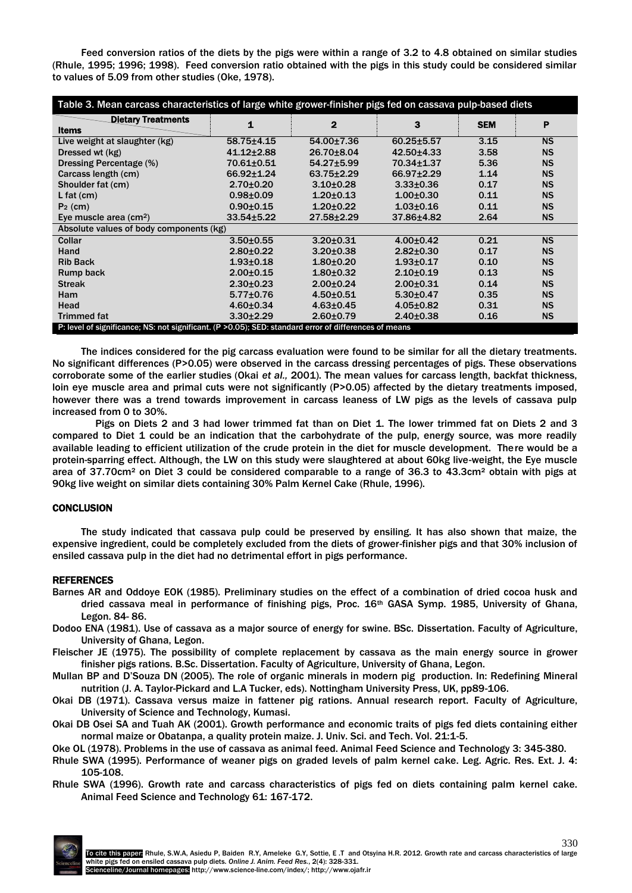Feed conversion ratios of the diets by the pigs were within a range of 3.2 to 4.8 obtained on similar studies (Rhule, 1995; 1996; 1998). Feed conversion ratio obtained with the pigs in this study could be considered similar to values of 5.09 from other studies (Oke, 1978).

| Table 3. Mean carcass characteristics of large white grower-finisher pigs fed on cassava pulp-based diets |                  |                  |                  |            |           |  |  |  |
|-----------------------------------------------------------------------------------------------------------|------------------|------------------|------------------|------------|-----------|--|--|--|
| <b>Dietary Treatments</b>                                                                                 | 1                | $\mathbf{2}$     | 3                | <b>SEM</b> | P         |  |  |  |
| <b>Items</b>                                                                                              |                  |                  |                  |            |           |  |  |  |
| Live weight at slaughter (kg)                                                                             | $58.75 + 4.15$   | 54.00±7.36       | $60.25 + 5.57$   | 3.15       | <b>NS</b> |  |  |  |
| Dressed wt (kg)                                                                                           | $41.12 \pm 2.88$ | 26.70±8.04       | $42.50 \pm 4.33$ | 3.58       | <b>NS</b> |  |  |  |
| Dressing Percentage (%)                                                                                   | 70.61±0.51       | $54.27 \pm 5.99$ | 70.34±1.37       | 5.36       | <b>NS</b> |  |  |  |
| Carcass length (cm)                                                                                       | $66.92 \pm 1.24$ | $63.75 \pm 2.29$ | 66.97±2.29       | 1.14       | <b>NS</b> |  |  |  |
| Shoulder fat (cm)                                                                                         | $2.70 \pm 0.20$  | $3.10 + 0.28$    | $3.33 \pm 0.36$  | 0.17       | <b>NS</b> |  |  |  |
| L fat $(cm)$                                                                                              | $0.98 + 0.09$    | $1.20 \pm 0.13$  | $1.00 + 0.30$    | 0.11       | <b>NS</b> |  |  |  |
| $P_2$ (cm)                                                                                                | $0.90 + 0.15$    | $1.20 \pm 0.22$  | $1.03 + 0.16$    | 0.11       | <b>NS</b> |  |  |  |
| Eye muscle area (cm <sup>2</sup> )                                                                        | $33.54 \pm 5.22$ | $27.58 \pm 2.29$ | 37.86±4.82       | 2.64       | <b>NS</b> |  |  |  |
| Absolute values of body components (kg)                                                                   |                  |                  |                  |            |           |  |  |  |
| Collar                                                                                                    | $3.50 + 0.55$    | $3.20 \pm 0.31$  | $4.00 \pm 0.42$  | 0.21       | <b>NS</b> |  |  |  |
| Hand                                                                                                      | $2.80 + 0.22$    | $3.20 \pm 0.38$  | $2.82 \pm 0.30$  | 0.17       | <b>NS</b> |  |  |  |
| <b>Rib Back</b>                                                                                           | $1.93 + 0.18$    | $1.80 + 0.20$    | $1.93 + 0.17$    | 0.10       | <b>NS</b> |  |  |  |
| Rump back                                                                                                 | $2.00 + 0.15$    | $1.80 + 0.32$    | $2.10+0.19$      | 0.13       | <b>NS</b> |  |  |  |
| <b>Streak</b>                                                                                             | $2.30 \pm 0.23$  | $2.00 \pm 0.24$  | $2.00 + 0.31$    | 0.14       | <b>NS</b> |  |  |  |
| <b>Ham</b>                                                                                                | $5.77 \pm 0.76$  | $4.50 + 0.51$    | $5.30 \pm 0.47$  | 0.35       | <b>NS</b> |  |  |  |
| Head                                                                                                      | $4.60 \pm 0.34$  | $4.63 \pm 0.45$  | $4.05 \pm 0.82$  | 0.31       | <b>NS</b> |  |  |  |
| <b>Trimmed fat</b>                                                                                        | $3.30 \pm 2.29$  | $2.60 + 0.79$    | $2.40 \pm 0.38$  | 0.16       | <b>NS</b> |  |  |  |
| P: level of significance; NS: not significant. (P > 0.05); SED: standard error of differences of means    |                  |                  |                  |            |           |  |  |  |

The indices considered for the pig carcass evaluation were found to be similar for all the dietary treatments. No significant differences (P>0.05) were observed in the carcass dressing percentages of pigs. These observations corroborate some of the earlier studies (Okai *et al.,* 2001). The mean values for carcass length, backfat thickness, loin eye muscle area and primal cuts were not significantly (P>0.05) affected by the dietary treatments imposed, however there was a trend towards improvement in carcass leaness of LW pigs as the levels of cassava pulp increased from 0 to 30%.

Pigs on Diets 2 and 3 had lower trimmed fat than on Diet 1. The lower trimmed fat on Diets 2 and 3 compared to Diet 1 could be an indication that the carbohydrate of the pulp, energy source, was more readily available leading to efficient utilization of the crude protein in the diet for muscle development. There would be a protein-sparring effect. Although, the LW on this study were slaughtered at about 60kg live-weight, the Eye muscle area of 37.70cm² on Diet 3 could be considered comparable to a range of 36.3 to 43.3cm² obtain with pigs at 90kg live weight on similar diets containing 30% Palm Kernel Cake (Rhule, 1996).

# **CONCLUSION**

The study indicated that cassava pulp could be preserved by ensiling. It has also shown that maize, the expensive ingredient, could be completely excluded from the diets of grower-finisher pigs and that 30% inclusion of ensiled cassava pulp in the diet had no detrimental effort in pigs performance.

#### REFERENCES

- Barnes AR and Oddoye EOK (1985). Preliminary studies on the effect of a combination of dried cocoa husk and dried cassava meal in performance of finishing pigs, Proc.  $16<sup>th</sup>$  GASA Symp. 1985, University of Ghana, Legon. 84- 86.
- Dodoo ENA (1981). Use of cassava as a major source of energy for swine. BSc. Dissertation. Faculty of Agriculture, University of Ghana, Legon.
- Fleischer JE (1975). The possibility of complete replacement by cassava as the main energy source in grower finisher pigs rations. B.Sc. Dissertation. Faculty of Agriculture, University of Ghana, Legon.
- Mullan BP and D'Souza DN (2005). The role of organic minerals in modern pig production. In: Redefining Mineral nutrition (J. A. Taylor-Pickard and L.A Tucker, eds). Nottingham University Press, UK, pp89-106.
- Okai DB (1971). Cassava versus maize in fattener pig rations. Annual research report. Faculty of Agriculture, University of Science and Technology, Kumasi.
- Okai DB Osei SA and Tuah AK (2001). Growth performance and economic traits of pigs fed diets containing either normal maize or Obatanpa, a quality protein maize. J. Univ. Sci. and Tech. Vol. 21:1-5.

Oke OL (1978). Problems in the use of cassava as animal feed. Animal Feed Science and Technology 3: 345-380.

- Rhule SWA (1995). Performance of weaner pigs on graded levels of palm kernel cake. Leg. Agric. Res. Ext. J. 4: 105-108.
- Rhule SWA (1996). Growth rate and carcass characteristics of pigs fed on diets containing palm kernel cake. Animal Feed Science and Technology 61: 167-172.